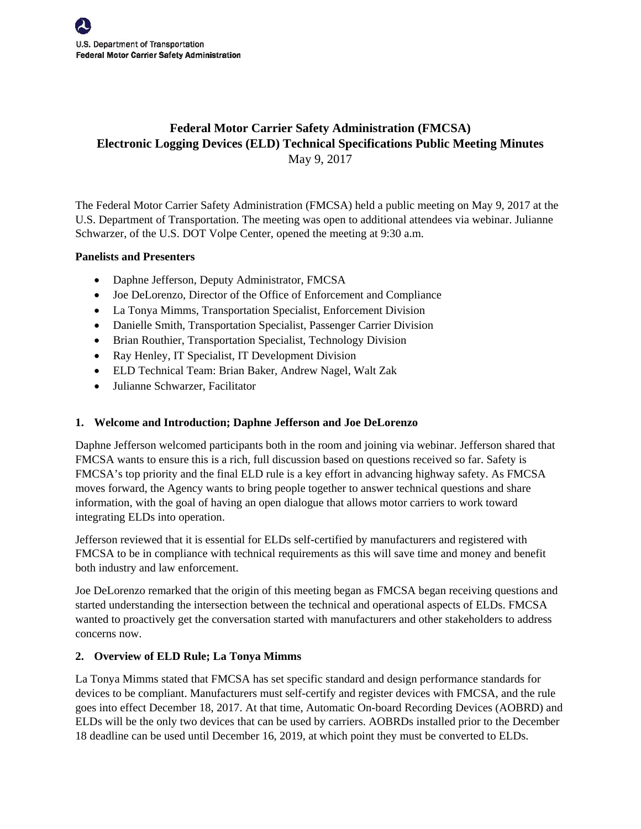# **Federal Motor Carrier Safety Administration (FMCSA) Electronic Logging Devices (ELD) Technical Specifications Public Meeting Minutes**  May 9, 2017

The Federal Motor Carrier Safety Administration (FMCSA) held a public meeting on May 9, 2017 at the U.S. Department of Transportation. The meeting was open to additional attendees via webinar. Julianne Schwarzer, of the U.S. DOT Volpe Center, opened the meeting at 9:30 a.m.

### **Panelists and Presenters**

- Daphne Jefferson, Deputy Administrator, FMCSA
- Joe DeLorenzo, Director of the Office of Enforcement and Compliance
- La Tonya Mimms, Transportation Specialist, Enforcement Division
- Danielle Smith, Transportation Specialist, Passenger Carrier Division
- Brian Routhier, Transportation Specialist, Technology Division
- Ray Henley, IT Specialist, IT Development Division
- ELD Technical Team: Brian Baker, Andrew Nagel, Walt Zak
- Julianne Schwarzer, Facilitator

# **1. Welcome and Introduction; Daphne Jefferson and Joe DeLorenzo**

Daphne Jefferson welcomed participants both in the room and joining via webinar. Jefferson shared that FMCSA wants to ensure this is a rich, full discussion based on questions received so far. Safety is FMCSA's top priority and the final ELD rule is a key effort in advancing highway safety. As FMCSA moves forward, the Agency wants to bring people together to answer technical questions and share information, with the goal of having an open dialogue that allows motor carriers to work toward integrating ELDs into operation.

Jefferson reviewed that it is essential for ELDs self-certified by manufacturers and registered with FMCSA to be in compliance with technical requirements as this will save time and money and benefit both industry and law enforcement.

Joe DeLorenzo remarked that the origin of this meeting began as FMCSA began receiving questions and started understanding the intersection between the technical and operational aspects of ELDs. FMCSA wanted to proactively get the conversation started with manufacturers and other stakeholders to address concerns now.

# **2. Overview of ELD Rule; La Tonya Mimms**

La Tonya Mimms stated that FMCSA has set specific standard and design performance standards for devices to be compliant. Manufacturers must self-certify and register devices with FMCSA, and the rule goes into effect December 18, 2017. At that time, Automatic On-board Recording Devices (AOBRD) and ELDs will be the only two devices that can be used by carriers. AOBRDs installed prior to the December 18 deadline can be used until December 16, 2019, at which point they must be converted to ELDs.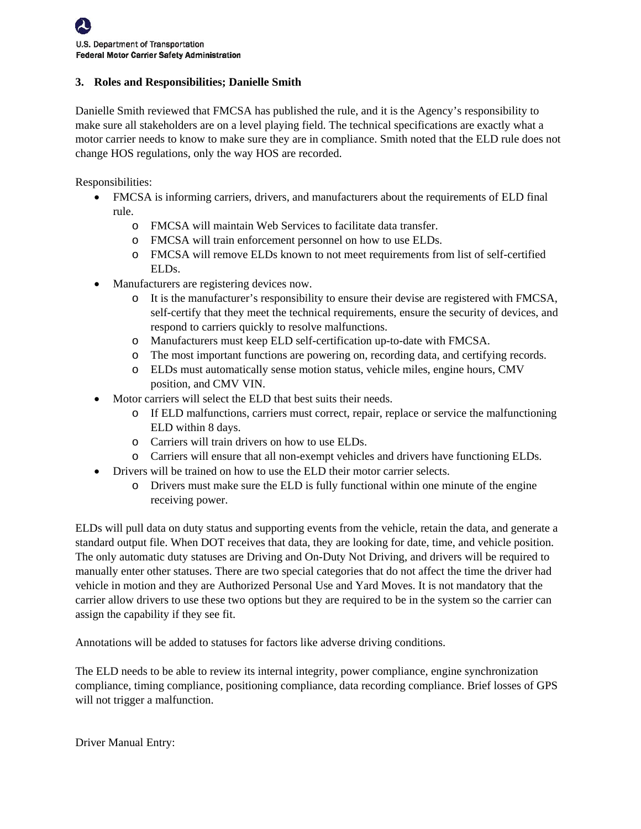#### **3. Roles and Responsibilities; Danielle Smith**

Danielle Smith reviewed that FMCSA has published the rule, and it is the Agency's responsibility to make sure all stakeholders are on a level playing field. The technical specifications are exactly what a motor carrier needs to know to make sure they are in compliance. Smith noted that the ELD rule does not change HOS regulations, only the way HOS are recorded.

Responsibilities:

- FMCSA is informing carriers, drivers, and manufacturers about the requirements of ELD final rule.
	- o FMCSA will maintain Web Services to facilitate data transfer.
	- o FMCSA will train enforcement personnel on how to use ELDs.
	- o FMCSA will remove ELDs known to not meet requirements from list of self-certified ELDs.
- Manufacturers are registering devices now.
	- o It is the manufacturer's responsibility to ensure their devise are registered with FMCSA, self-certify that they meet the technical requirements, ensure the security of devices, and respond to carriers quickly to resolve malfunctions.
	- o Manufacturers must keep ELD self-certification up-to-date with FMCSA.
	- o The most important functions are powering on, recording data, and certifying records.
	- o ELDs must automatically sense motion status, vehicle miles, engine hours, CMV position, and CMV VIN.
- Motor carriers will select the ELD that best suits their needs.
	- o If ELD malfunctions, carriers must correct, repair, replace or service the malfunctioning ELD within 8 days.
	- o Carriers will train drivers on how to use ELDs.
	- o Carriers will ensure that all non-exempt vehicles and drivers have functioning ELDs.
- Drivers will be trained on how to use the ELD their motor carrier selects.
	- o Drivers must make sure the ELD is fully functional within one minute of the engine receiving power.

ELDs will pull data on duty status and supporting events from the vehicle, retain the data, and generate a standard output file. When DOT receives that data, they are looking for date, time, and vehicle position. The only automatic duty statuses are Driving and On-Duty Not Driving, and drivers will be required to manually enter other statuses. There are two special categories that do not affect the time the driver had vehicle in motion and they are Authorized Personal Use and Yard Moves. It is not mandatory that the carrier allow drivers to use these two options but they are required to be in the system so the carrier can assign the capability if they see fit.

Annotations will be added to statuses for factors like adverse driving conditions.

The ELD needs to be able to review its internal integrity, power compliance, engine synchronization compliance, timing compliance, positioning compliance, data recording compliance. Brief losses of GPS will not trigger a malfunction.

Driver Manual Entry: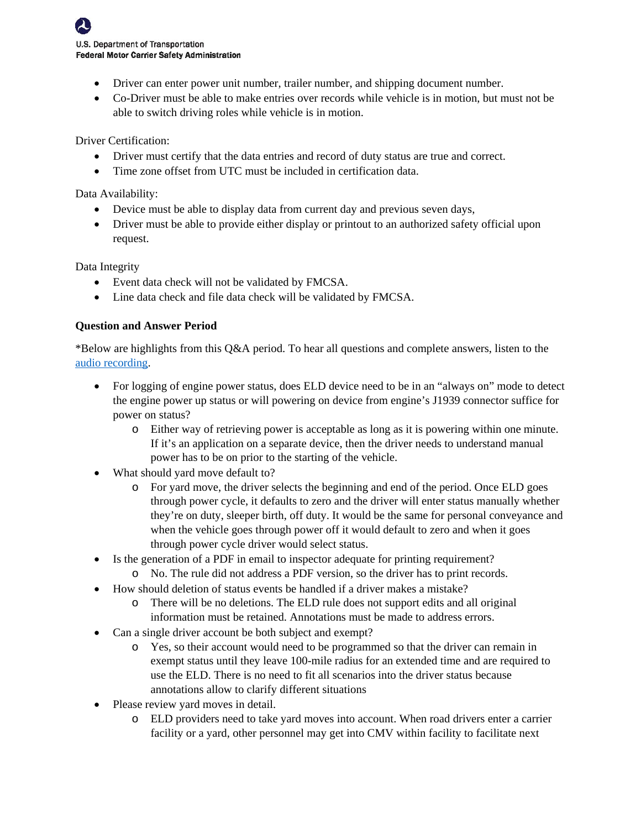- Driver can enter power unit number, trailer number, and shipping document number.
- Co-Driver must be able to make entries over records while vehicle is in motion, but must not be able to switch driving roles while vehicle is in motion.

Driver Certification:

- Driver must certify that the data entries and record of duty status are true and correct.
- Time zone offset from UTC must be included in certification data.

Data Availability:

- Device must be able to display data from current day and previous seven days,
- Driver must be able to provide either display or printout to an authorized safety official upon request.

Data Integrity

- Event data check will not be validated by FMCSA.
- Line data check and file data check will be validated by FMCSA.

### **Question and Answer Period**

\*Below are highlights from this Q&A period. To hear all questions and complete answers, listen to the [audio recording.](https://connectdot.connectsolutions.com/p85wal6pm0r/?launcher=false&fcsContent=true&pbMode=normal) 

- For logging of engine power status, does ELD device need to be in an "always on" mode to detect the engine power up status or will powering on device from engine's J1939 connector suffice for power on status?
	- o Either way of retrieving power is acceptable as long as it is powering within one minute. If it's an application on a separate device, then the driver needs to understand manual power has to be on prior to the starting of the vehicle.
- What should yard move default to?
	- o For yard move, the driver selects the beginning and end of the period. Once ELD goes through power cycle, it defaults to zero and the driver will enter status manually whether they're on duty, sleeper birth, off duty. It would be the same for personal conveyance and when the vehicle goes through power off it would default to zero and when it goes through power cycle driver would select status.
- Is the generation of a PDF in email to inspector adequate for printing requirement?
	- o No. The rule did not address a PDF version, so the driver has to print records.
- How should deletion of status events be handled if a driver makes a mistake?
	- o There will be no deletions. The ELD rule does not support edits and all original information must be retained. Annotations must be made to address errors.
- Can a single driver account be both subject and exempt?
	- o Yes, so their account would need to be programmed so that the driver can remain in exempt status until they leave 100-mile radius for an extended time and are required to use the ELD. There is no need to fit all scenarios into the driver status because annotations allow to clarify different situations
- Please review yard moves in detail.
	- o ELD providers need to take yard moves into account. When road drivers enter a carrier facility or a yard, other personnel may get into CMV within facility to facilitate next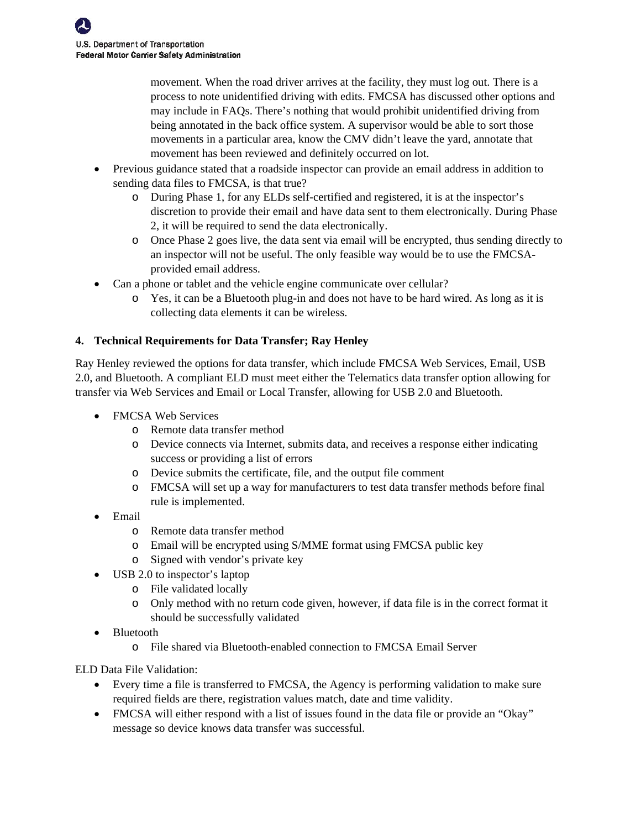movement. When the road driver arrives at the facility, they must log out. There is a process to note unidentified driving with edits. FMCSA has discussed other options and may include in FAQs. There's nothing that would prohibit unidentified driving from being annotated in the back office system. A supervisor would be able to sort those movements in a particular area, know the CMV didn't leave the yard, annotate that movement has been reviewed and definitely occurred on lot.

- Previous guidance stated that a roadside inspector can provide an email address in addition to sending data files to FMCSA, is that true?
	- o During Phase 1, for any ELDs self-certified and registered, it is at the inspector's discretion to provide their email and have data sent to them electronically. During Phase 2, it will be required to send the data electronically.
	- o Once Phase 2 goes live, the data sent via email will be encrypted, thus sending directly to an inspector will not be useful. The only feasible way would be to use the FMCSAprovided email address.
- Can a phone or tablet and the vehicle engine communicate over cellular?
	- o Yes, it can be a Bluetooth plug-in and does not have to be hard wired. As long as it is collecting data elements it can be wireless.

# **4. Technical Requirements for Data Transfer; Ray Henley**

Ray Henley reviewed the options for data transfer, which include FMCSA Web Services, Email, USB 2.0, and Bluetooth. A compliant ELD must meet either the Telematics data transfer option allowing for transfer via Web Services and Email or Local Transfer, allowing for USB 2.0 and Bluetooth.

- FMCSA Web Services
	- o Remote data transfer method
	- o Device connects via Internet, submits data, and receives a response either indicating success or providing a list of errors
	- o Device submits the certificate, file, and the output file comment
	- o FMCSA will set up a way for manufacturers to test data transfer methods before final rule is implemented.
- Email
	- o Remote data transfer method
	- o Email will be encrypted using S/MME format using FMCSA public key
	- o Signed with vendor's private key
- USB 2.0 to inspector's laptop
	- o File validated locally
	- o Only method with no return code given, however, if data file is in the correct format it should be successfully validated
- Bluetooth
	- o File shared via Bluetooth-enabled connection to FMCSA Email Server

ELD Data File Validation:

- Every time a file is transferred to FMCSA, the Agency is performing validation to make sure required fields are there, registration values match, date and time validity.
- FMCSA will either respond with a list of issues found in the data file or provide an "Okay" message so device knows data transfer was successful.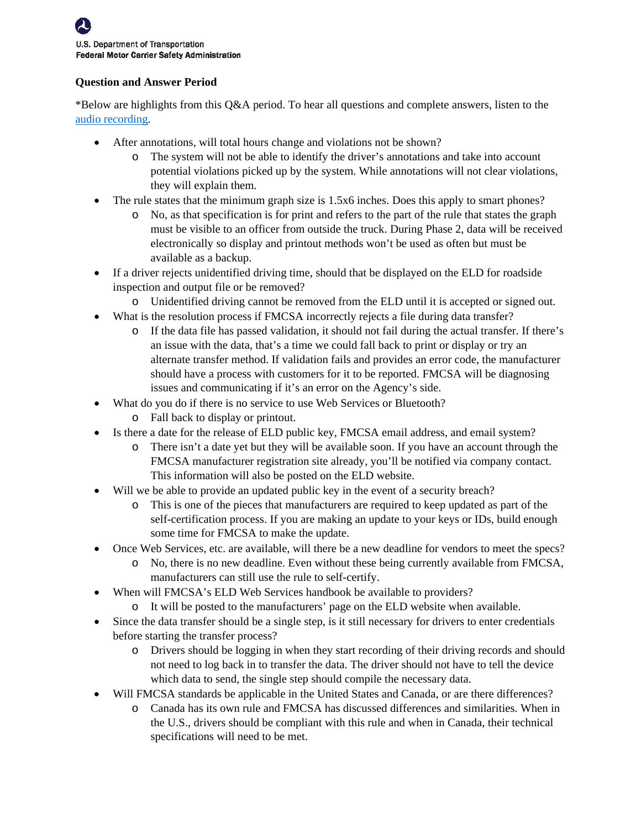# **Question and Answer Period**

\*Below are highlights from this Q&A period. To hear all questions and complete answers, listen to the [audio recording.](https://connectdot.connectsolutions.com/p85wal6pm0r/?launcher=false&fcsContent=true&pbMode=normal) 

- After annotations, will total hours change and violations not be shown?
	- o The system will not be able to identify the driver's annotations and take into account potential violations picked up by the system. While annotations will not clear violations, they will explain them.
- The rule states that the minimum graph size is 1.5x6 inches. Does this apply to smart phones?
	- o No, as that specification is for print and refers to the part of the rule that states the graph must be visible to an officer from outside the truck. During Phase 2, data will be received electronically so display and printout methods won't be used as often but must be available as a backup.
- If a driver rejects unidentified driving time, should that be displayed on the ELD for roadside inspection and output file or be removed?
	- o Unidentified driving cannot be removed from the ELD until it is accepted or signed out.
- What is the resolution process if FMCSA incorrectly rejects a file during data transfer?
	- o If the data file has passed validation, it should not fail during the actual transfer. If there's an issue with the data, that's a time we could fall back to print or display or try an alternate transfer method. If validation fails and provides an error code, the manufacturer should have a process with customers for it to be reported. FMCSA will be diagnosing issues and communicating if it's an error on the Agency's side.
- What do you do if there is no service to use Web Services or Bluetooth?
	- o Fall back to display or printout.
- Is there a date for the release of ELD public key, FMCSA email address, and email system?
	- o There isn't a date yet but they will be available soon. If you have an account through the FMCSA manufacturer registration site already, you'll be notified via company contact. This information will also be posted on the ELD website.
- Will we be able to provide an updated public key in the event of a security breach?
	- o This is one of the pieces that manufacturers are required to keep updated as part of the self-certification process. If you are making an update to your keys or IDs, build enough some time for FMCSA to make the update.
- Once Web Services, etc. are available, will there be a new deadline for vendors to meet the specs?
	- o No, there is no new deadline. Even without these being currently available from FMCSA, manufacturers can still use the rule to self-certify.
- When will FMCSA's ELD Web Services handbook be available to providers?
	- o It will be posted to the manufacturers' page on the ELD website when available.
- Since the data transfer should be a single step, is it still necessary for drivers to enter credentials before starting the transfer process?
	- o Drivers should be logging in when they start recording of their driving records and should not need to log back in to transfer the data. The driver should not have to tell the device which data to send, the single step should compile the necessary data.
- Will FMCSA standards be applicable in the United States and Canada, or are there differences?
	- o Canada has its own rule and FMCSA has discussed differences and similarities. When in the U.S., drivers should be compliant with this rule and when in Canada, their technical specifications will need to be met.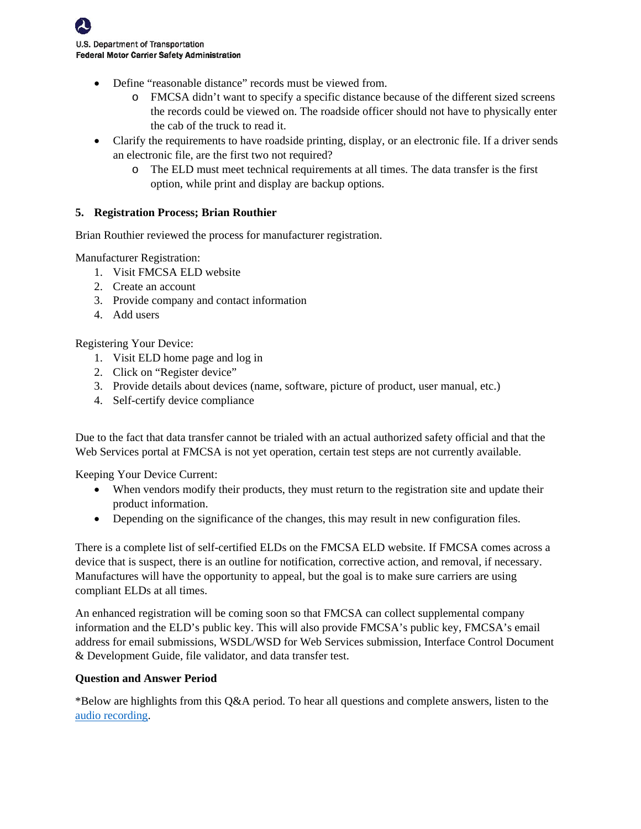- Define "reasonable distance" records must be viewed from.
	- o FMCSA didn't want to specify a specific distance because of the different sized screens the records could be viewed on. The roadside officer should not have to physically enter the cab of the truck to read it.
- Clarify the requirements to have roadside printing, display, or an electronic file. If a driver sends an electronic file, are the first two not required?
	- o The ELD must meet technical requirements at all times. The data transfer is the first option, while print and display are backup options.

# **5. Registration Process; Brian Routhier**

Brian Routhier reviewed the process for manufacturer registration.

Manufacturer Registration:

- 1. Visit FMCSA ELD website
- 2. Create an account
- 3. Provide company and contact information
- 4. Add users

Registering Your Device:

- 1. Visit ELD home page and log in
- 2. Click on "Register device"
- 3. Provide details about devices (name, software, picture of product, user manual, etc.)
- 4. Self-certify device compliance

Due to the fact that data transfer cannot be trialed with an actual authorized safety official and that the Web Services portal at FMCSA is not yet operation, certain test steps are not currently available.

Keeping Your Device Current:

- When vendors modify their products, they must return to the registration site and update their product information.
- Depending on the significance of the changes, this may result in new configuration files.

There is a complete list of self-certified ELDs on the FMCSA ELD website. If FMCSA comes across a device that is suspect, there is an outline for notification, corrective action, and removal, if necessary. Manufactures will have the opportunity to appeal, but the goal is to make sure carriers are using compliant ELDs at all times.

An enhanced registration will be coming soon so that FMCSA can collect supplemental company information and the ELD's public key. This will also provide FMCSA's public key, FMCSA's email address for email submissions, WSDL/WSD for Web Services submission, Interface Control Document & Development Guide, file validator, and data transfer test.

#### **Question and Answer Period**

\*Below are highlights from this Q&A period. To hear all questions and complete answers, listen to the [audio recording.](https://connectdot.connectsolutions.com/p85wal6pm0r/?launcher=false&fcsContent=true&pbMode=normal)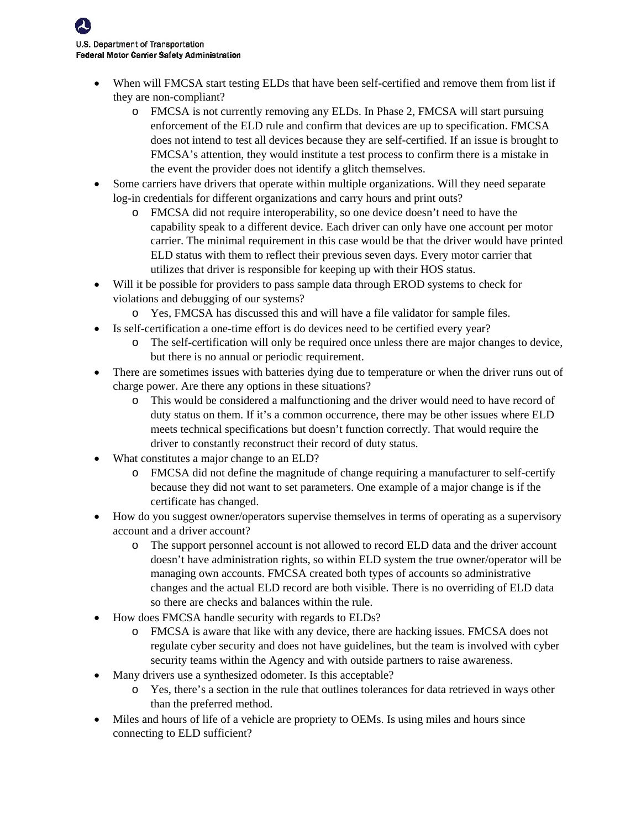- When will FMCSA start testing ELDs that have been self-certified and remove them from list if they are non-compliant?
	- o FMCSA is not currently removing any ELDs. In Phase 2, FMCSA will start pursuing enforcement of the ELD rule and confirm that devices are up to specification. FMCSA does not intend to test all devices because they are self-certified. If an issue is brought to FMCSA's attention, they would institute a test process to confirm there is a mistake in the event the provider does not identify a glitch themselves.
- Some carriers have drivers that operate within multiple organizations. Will they need separate log-in credentials for different organizations and carry hours and print outs?
	- o FMCSA did not require interoperability, so one device doesn't need to have the capability speak to a different device. Each driver can only have one account per motor carrier. The minimal requirement in this case would be that the driver would have printed ELD status with them to reflect their previous seven days. Every motor carrier that utilizes that driver is responsible for keeping up with their HOS status.
- Will it be possible for providers to pass sample data through EROD systems to check for violations and debugging of our systems?
	- o Yes, FMCSA has discussed this and will have a file validator for sample files.
- Is self-certification a one-time effort is do devices need to be certified every year?
	- o The self-certification will only be required once unless there are major changes to device, but there is no annual or periodic requirement.
- There are sometimes issues with batteries dying due to temperature or when the driver runs out of charge power. Are there any options in these situations?
	- o This would be considered a malfunctioning and the driver would need to have record of duty status on them. If it's a common occurrence, there may be other issues where ELD meets technical specifications but doesn't function correctly. That would require the driver to constantly reconstruct their record of duty status.
- What constitutes a major change to an ELD?
	- o FMCSA did not define the magnitude of change requiring a manufacturer to self-certify because they did not want to set parameters. One example of a major change is if the certificate has changed.
- How do you suggest owner/operators supervise themselves in terms of operating as a supervisory account and a driver account?
	- o The support personnel account is not allowed to record ELD data and the driver account doesn't have administration rights, so within ELD system the true owner/operator will be managing own accounts. FMCSA created both types of accounts so administrative changes and the actual ELD record are both visible. There is no overriding of ELD data so there are checks and balances within the rule.
- How does FMCSA handle security with regards to ELDs?
	- o FMCSA is aware that like with any device, there are hacking issues. FMCSA does not regulate cyber security and does not have guidelines, but the team is involved with cyber security teams within the Agency and with outside partners to raise awareness.
- Many drivers use a synthesized odometer. Is this acceptable?
	- o Yes, there's a section in the rule that outlines tolerances for data retrieved in ways other than the preferred method.
- Miles and hours of life of a vehicle are propriety to OEMs. Is using miles and hours since connecting to ELD sufficient?